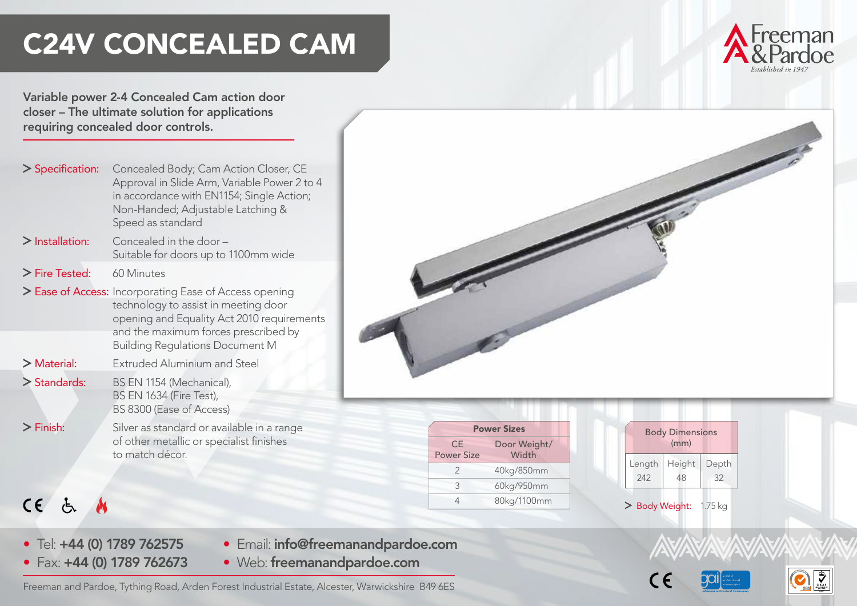# C24V CONCEALED CAM



Variable power 2-4 Concealed Cam action door closer – The ultimate solution for applications requiring concealed door controls.

> Specification: Concealed Body; Cam Action Closer, CE Approval in Slide Arm, Variable Power 2 to 4 in accordance with EN1154; Single Action; Non-Handed; Adjustable Latching & Speed as standard  $\sum$  Installation: Concealed in the door – Suitable for doors up to 1100mm wide > Fire Tested: 60 Minutes > Ease of Access: Incorporating Ease of Access opening technology to assist in meeting door opening and Equality Act 2010 requirements and the maximum forces prescribed by Building Regulations Document M > Material: Extruded Aluminium and Steel > Standards: BS EN 1154 (Mechanical), BS EN 1634 (Fire Test), BS 8300 (Ease of Access) > Finish: Silver as standard or available in a range of other metallic or specialist finishes to match décor.



| <b>Power Sizes</b>      |                       |  |  |  |
|-------------------------|-----------------------|--|--|--|
| СE<br><b>Power Size</b> | Door Weight/<br>Width |  |  |  |
| $\mathcal{P}$           | 40kg/850mm            |  |  |  |
| ς                       | 60kg/950mm            |  |  |  |
|                         | 80kg/1100mm           |  |  |  |

| <b>Body Dimensions</b><br>(mm) |              |             |  |  |  |
|--------------------------------|--------------|-------------|--|--|--|
| Length<br>242                  | Height<br>48 | Depth<br>32 |  |  |  |
|                                |              |             |  |  |  |

> Body Weight: 1.75 kg



• Tel: +44 (0) 1789 762575

 $CE$  &

- Email: info@freemanandpardoe.com
- Fax: +44 (0) 1789 762673 • Web: freemanandpardoe.com

Freeman and Pardoe, Tything Road, Arden Forest Industrial Estate, Alcester, Warwickshire B49 6ES